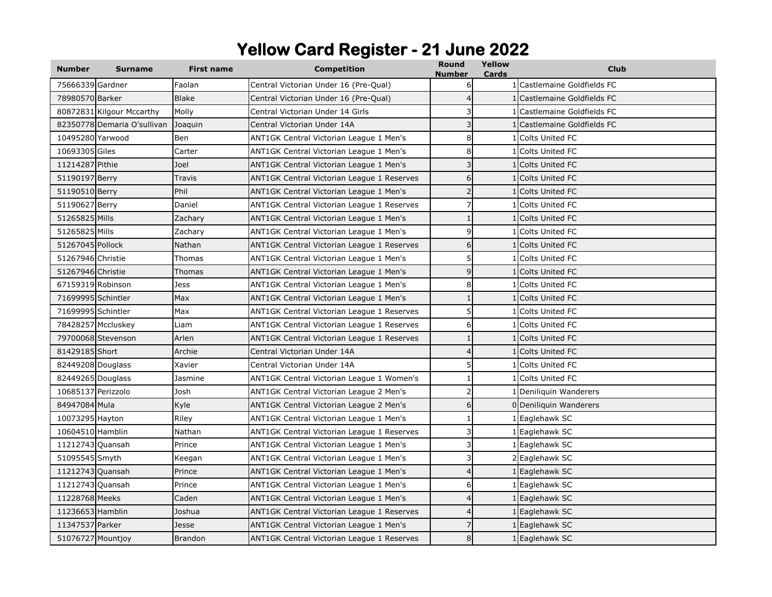## **Yellow Card Register - 21 June 2022**

| <b>Number</b>      | <b>Surname</b>              | <b>First name</b> | <b>Competition</b>                         | Round<br>Number | Yellow<br>Cards | <b>Club</b>                 |
|--------------------|-----------------------------|-------------------|--------------------------------------------|-----------------|-----------------|-----------------------------|
| 75666339 Gardner   |                             | Faolan            | Central Victorian Under 16 (Pre-Qual)      | 6               |                 | 1 Castlemaine Goldfields FC |
| 78980570 Barker    |                             | <b>Blake</b>      | Central Victorian Under 16 (Pre-Qual)      | $\overline{4}$  |                 | 1 Castlemaine Goldfields FC |
|                    | 80872831 Kilgour Mccarthy   | Molly             | Central Victorian Under 14 Girls           | 3               |                 | Castlemaine Goldfields FC   |
|                    | 82350778 Demaria O'sullivan | Joaquin           | Central Victorian Under 14A                | 3               |                 | Castlemaine Goldfields FC   |
| 10495280 Yarwood   |                             | Ben               | ANT1GK Central Victorian League 1 Men's    | 8               |                 | Colts United FC             |
| 10693305 Giles     |                             | Carter            | ANT1GK Central Victorian League 1 Men's    | 8               |                 | <b>Colts United FC</b>      |
| 11214287 Pithie    |                             | Joel              | ANT1GK Central Victorian League 1 Men's    | 3               |                 | Colts United FC             |
| 51190197 Berry     |                             | Travis            | ANT1GK Central Victorian League 1 Reserves | 6               |                 | <b>Colts United FC</b>      |
| 51190510 Berry     |                             | Phil              | ANT1GK Central Victorian League 1 Men's    |                 |                 | Colts United FC             |
| 51190627 Berry     |                             | Daniel            | ANT1GK Central Victorian League 1 Reserves |                 |                 | 1 Colts United FC           |
| 51265825 Mills     |                             | Zachary           | ANT1GK Central Victorian League 1 Men's    |                 |                 | <b>Colts United FC</b>      |
| 51265825 Mills     |                             | Zachary           | ANT1GK Central Victorian League 1 Men's    | 9               |                 | Colts United FC             |
| 51267045 Pollock   |                             | Nathan            | ANT1GK Central Victorian League 1 Reserves | 6               |                 | <b>Colts United FC</b>      |
| 51267946 Christie  |                             | Thomas            | ANT1GK Central Victorian League 1 Men's    | 5               |                 | 1 Colts United FC           |
| 51267946 Christie  |                             | Thomas            | ANT1GK Central Victorian League 1 Men's    | 9               |                 | 1 Colts United FC           |
| 67159319 Robinson  |                             | Jess              | ANT1GK Central Victorian League 1 Men's    | 8               |                 | 1 Colts United FC           |
| 71699995 Schintler |                             | Max               | ANT1GK Central Victorian League 1 Men's    | $\mathbf{1}$    |                 | 1 Colts United FC           |
| 71699995 Schintler |                             | Max               | ANT1GK Central Victorian League 1 Reserves | 5               |                 | 1 Colts United FC           |
|                    | 78428257 Mccluskey          | Liam              | ANT1GK Central Victorian League 1 Reserves | 6               |                 | <b>Colts United FC</b>      |
|                    | 79700068 Stevenson          | Arlen             | ANT1GK Central Victorian League 1 Reserves | 1               |                 | <b>Colts United FC</b>      |
| 81429185 Short     |                             | Archie            | Central Victorian Under 14A                | $\overline{4}$  |                 | <b>Colts United FC</b>      |
| 82449208 Douglass  |                             | Xavier            | Central Victorian Under 14A                | 5               |                 | <b>Colts United FC</b>      |
| 82449265 Douglass  |                             | Jasmine           | ANT1GK Central Victorian League 1 Women's  |                 |                 | <b>Colts United FC</b>      |
| 10685137 Perizzolo |                             | Josh              | ANT1GK Central Victorian League 2 Men's    | 2               |                 | Deniliquin Wanderers        |
| 84947084 Mula      |                             | Kyle              | ANT1GK Central Victorian League 2 Men's    | 6               |                 | 0 Deniliquin Wanderers      |
| 10073295 Hayton    |                             | Riley             | ANT1GK Central Victorian League 1 Men's    |                 |                 | 1 Eaglehawk SC              |
| 10604510 Hamblin   |                             | Nathan            | ANT1GK Central Victorian League 1 Reserves | 3               |                 | 1 Eaglehawk SC              |
| 11212743 Quansah   |                             | Prince            | ANT1GK Central Victorian League 1 Men's    | 3               |                 | Eaglehawk SC                |
| 51095545 Smyth     |                             | Keegan            | ANT1GK Central Victorian League 1 Men's    | 3               |                 | 2 Eaglehawk SC              |
| 11212743 Quansah   |                             | Prince            | ANT1GK Central Victorian League 1 Men's    | $\overline{4}$  |                 | 1 Eaglehawk SC              |
| 11212743 Quansah   |                             | Prince            | ANT1GK Central Victorian League 1 Men's    | 6               |                 | 1 Eaglehawk SC              |
| 11228768 Meeks     |                             | Caden             | ANT1GK Central Victorian League 1 Men's    | $\overline{4}$  |                 | 1 Eaglehawk SC              |
| 11236653 Hamblin   |                             | Joshua            | ANT1GK Central Victorian League 1 Reserves | $\overline{4}$  |                 | 1 Eaglehawk SC              |
| 11347537 Parker    |                             | Jesse             | ANT1GK Central Victorian League 1 Men's    |                 |                 | 1 Eaglehawk SC              |
| 51076727 Mountjoy  |                             | <b>Brandon</b>    | ANT1GK Central Victorian League 1 Reserves | 8               |                 | 1 Eaglehawk SC              |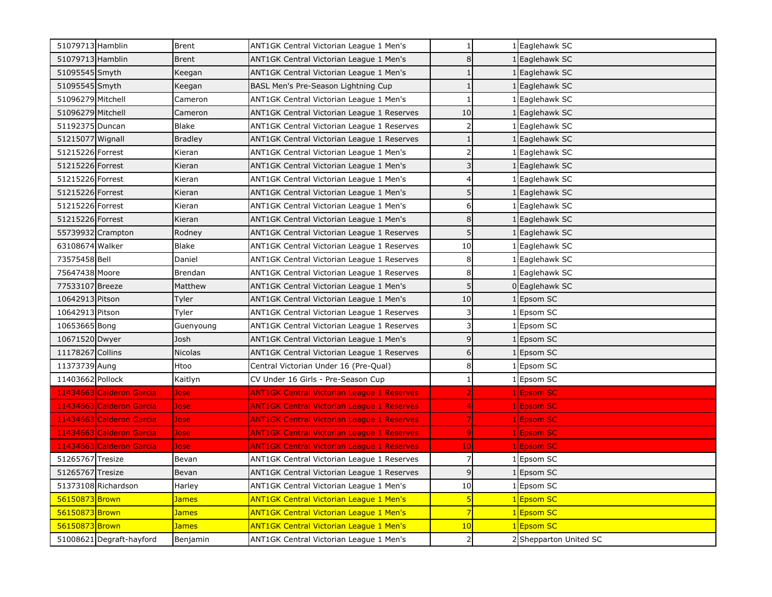| 51079713 Hamblin  |                          | <b>Brent</b>   | ANT1GK Central Victorian League 1 Men's           | $\mathbf{1}$   | 1 Eaglehawk SC         |
|-------------------|--------------------------|----------------|---------------------------------------------------|----------------|------------------------|
| 51079713 Hamblin  |                          | <b>Brent</b>   | ANT1GK Central Victorian League 1 Men's           | 8              | 1 Eaglehawk SC         |
| 51095545 Smyth    |                          | Keegan         | ANT1GK Central Victorian League 1 Men's           | $\mathbf{1}$   | 1 Eaglehawk SC         |
| 51095545 Smyth    |                          | Keegan         | BASL Men's Pre-Season Lightning Cup               |                | 1 Eaglehawk SC         |
| 51096279 Mitchell |                          | Cameron        | ANT1GK Central Victorian League 1 Men's           | $\mathbf{1}$   | 1 Eaglehawk SC         |
| 51096279 Mitchell |                          | Cameron        | ANT1GK Central Victorian League 1 Reserves        | 10             | 1 Eaglehawk SC         |
| 51192375 Duncan   |                          | <b>Blake</b>   | ANT1GK Central Victorian League 1 Reserves        | 2              | 1 Eaglehawk SC         |
| 51215077 Wignall  |                          | <b>Bradley</b> | ANT1GK Central Victorian League 1 Reserves        |                | 1 Eaglehawk SC         |
| 51215226 Forrest  |                          | Kieran         | ANT1GK Central Victorian League 1 Men's           | $\overline{2}$ | 1 Eaglehawk SC         |
| 51215226 Forrest  |                          | Kieran         | ANT1GK Central Victorian League 1 Men's           | 3              | 1 Eaglehawk SC         |
| 51215226 Forrest  |                          | Kieran         | ANT1GK Central Victorian League 1 Men's           |                | 1 Eaglehawk SC         |
| 51215226 Forrest  |                          | Kieran         | ANT1GK Central Victorian League 1 Men's           | 5 <sup>1</sup> | 1 Eaglehawk SC         |
| 51215226 Forrest  |                          | Kieran         | ANT1GK Central Victorian League 1 Men's           | 6              | 1 Eaglehawk SC         |
| 51215226 Forrest  |                          | Kieran         | ANT1GK Central Victorian League 1 Men's           | 8              | 1 Eaglehawk SC         |
|                   | 55739932 Crampton        | Rodney         | ANT1GK Central Victorian League 1 Reserves        | 5              | 1 Eaglehawk SC         |
| 63108674 Walker   |                          | <b>Blake</b>   | ANT1GK Central Victorian League 1 Reserves        | 10             | 1 Eaglehawk SC         |
| 73575458 Bell     |                          | Daniel         | ANT1GK Central Victorian League 1 Reserves        | 8              | 1 Eaglehawk SC         |
| 75647438 Moore    |                          | Brendan        | ANT1GK Central Victorian League 1 Reserves        | 8              | 1 Eaglehawk SC         |
| 77533107 Breeze   |                          | Matthew        | ANT1GK Central Victorian League 1 Men's           | 5              | 0 Eaglehawk SC         |
| 10642913 Pitson   |                          | Tyler          | ANT1GK Central Victorian League 1 Men's           | 10             | Epsom SC               |
| 10642913 Pitson   |                          | Tyler          | ANT1GK Central Victorian League 1 Reserves        | 3              | Epsom SC               |
| 10653665 Bong     |                          | Guenyoung      | ANT1GK Central Victorian League 1 Reserves        | 3              | Epsom SC               |
| 10671520 Dwyer    |                          | Josh           | ANT1GK Central Victorian League 1 Men's           | 9              | Epsom SC               |
| 11178267 Collins  |                          | <b>Nicolas</b> | ANT1GK Central Victorian League 1 Reserves        | 6              | Epsom SC               |
| 11373739 Aung     |                          | Htoo           | Central Victorian Under 16 (Pre-Qual)             | 8              | Epsom SC               |
| 11403662 Pollock  |                          | Kaitlyn        | CV Under 16 Girls - Pre-Season Cup                | 1              | Epsom SC               |
|                   | 11434663 Calderon Garcia | Jose           | <b>ANT1GK Central Victorian League 1 Reserves</b> |                | 1 Epsom SC             |
|                   | 11434663 Calderon Garcia | Jose           | <b>ANT1GK Central Victorian League 1 Reserves</b> |                | 1 Epsom SC             |
|                   | 11434663 Calderon Garcia | Jose           | ANT1GK Central Victorian League 1 Reserves        |                | 1 Epsom SC             |
|                   | 11434663 Calderon Garcia | Jose           | ANT1GK Central Victorian League 1 Reserves        | 9              | 1 Epsom SC             |
|                   | 11434663 Calderon Garcia | <b>Jose</b>    | <b>ANT1GK Central Victorian League 1 Reserves</b> | 10             | 1 Epsom SC             |
| 51265767 Tresize  |                          | Bevan          | ANT1GK Central Victorian League 1 Reserves        | 7              | 1 Epsom SC             |
| 51265767 Tresize  |                          | Bevan          | ANT1GK Central Victorian League 1 Reserves        | $\overline{9}$ | Epsom SC               |
|                   | 51373108 Richardson      | Harley         | ANT1GK Central Victorian League 1 Men's           | 10             | Epsom SC               |
| 56150873 Brown    |                          | <u>James</u>   | <b>ANT1GK Central Victorian League 1 Men's</b>    | 5              | <b>Epsom SC</b>        |
| 56150873 Brown    |                          | <b>James</b>   | <b>ANT1GK Central Victorian League 1 Men's</b>    | 7              | <b>Epsom SC</b>        |
| 56150873 Brown    |                          | <b>James</b>   | <b>ANT1GK Central Victorian League 1 Men's</b>    | 10             | 1 Epsom SC             |
|                   | 51008621 Degraft-hayford | Benjamin       | ANT1GK Central Victorian League 1 Men's           | 2              | 2 Shepparton United SC |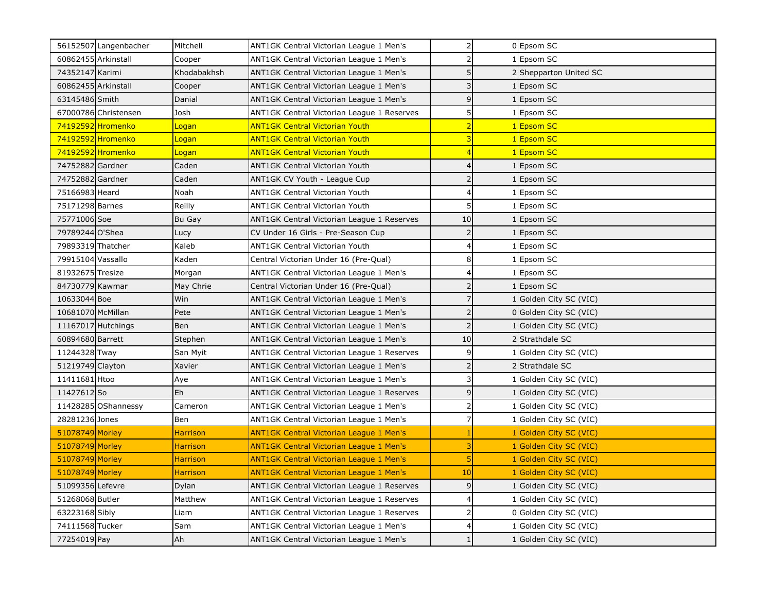|                     | 56152507 Langenbacher | Mitchell           | ANT1GK Central Victorian League 1 Men's        | $\overline{2}$           | 0 Epsom SC             |
|---------------------|-----------------------|--------------------|------------------------------------------------|--------------------------|------------------------|
|                     | 60862455 Arkinstall   | Cooper             | ANT1GK Central Victorian League 1 Men's        |                          | 1 Epsom SC             |
| 74352147 Karimi     |                       | Khodabakhsh        | ANT1GK Central Victorian League 1 Men's        | 5                        | 2 Shepparton United SC |
| 60862455 Arkinstall |                       | Cooper             | ANT1GK Central Victorian League 1 Men's        |                          | Epsom SC               |
| 63145486 Smith      |                       | Danial             | ANT1GK Central Victorian League 1 Men's        | 9                        | 1 Epsom SC             |
|                     | 67000786 Christensen  | Josh               | ANT1GK Central Victorian League 1 Reserves     | 5                        | 1 Epsom SC             |
|                     | 74192592 Hromenko     | <mark>Logan</mark> | <b>ANT1GK Central Victorian Youth</b>          |                          | 1 Epsom SC             |
|                     | 74192592 Hromenko     | <u>Logan</u>       | <b>ANT1GK Central Victorian Youth</b>          |                          | 1 Epsom SC             |
|                     | 74192592 Hromenko     | Logan              | <b>ANT1GK Central Victorian Youth</b>          |                          | 1 Epsom SC             |
| 74752882 Gardner    |                       | Caden              | <b>ANT1GK Central Victorian Youth</b>          |                          | 1 Epsom SC             |
| 74752882 Gardner    |                       | Caden              | ANT1GK CV Youth - League Cup                   |                          | 1 Epsom SC             |
| 75166983 Heard      |                       | Noah               | <b>ANT1GK Central Victorian Youth</b>          |                          | 1 Epsom SC             |
| 75171298 Barnes     |                       | Reilly             | <b>ANT1GK Central Victorian Youth</b>          | 5                        | 1 Epsom SC             |
| 75771006 Soe        |                       | Bu Gay             | ANT1GK Central Victorian League 1 Reserves     | 10                       | 1 Epsom SC             |
| 79789244 O'Shea     |                       | Lucy               | CV Under 16 Girls - Pre-Season Cup             | $\overline{\phantom{0}}$ | 1 Epsom SC             |
| 79893319 Thatcher   |                       | Kaleb              | <b>ANT1GK Central Victorian Youth</b>          | 4                        | 1 Epsom SC             |
| 79915104 Vassallo   |                       | Kaden              | Central Victorian Under 16 (Pre-Qual)          | 8                        | 1 Epsom SC             |
| 81932675 Tresize    |                       | Morgan             | ANT1GK Central Victorian League 1 Men's        |                          | 1 Epsom SC             |
| 84730779 Kawmar     |                       | May Chrie          | Central Victorian Under 16 (Pre-Qual)          |                          | 1 Epsom SC             |
| 10633044 Boe        |                       | Win                | ANT1GK Central Victorian League 1 Men's        |                          | 1 Golden City SC (VIC) |
| 10681070 McMillan   |                       | Pete               | ANT1GK Central Victorian League 1 Men's        | 2                        | 0 Golden City SC (VIC) |
|                     | 11167017 Hutchings    | Ben                | ANT1GK Central Victorian League 1 Men's        | $\overline{2}$           | 1 Golden City SC (VIC) |
| 60894680 Barrett    |                       | Stephen            | ANT1GK Central Victorian League 1 Men's        | 10                       | 2 Strathdale SC        |
| 11244328 Tway       |                       | San Myit           | ANT1GK Central Victorian League 1 Reserves     | 9                        | Golden City SC (VIC)   |
| 51219749 Clayton    |                       | Xavier             | ANT1GK Central Victorian League 1 Men's        |                          | 2 Strathdale SC        |
| 11411681 Htoo       |                       | Aye                | ANT1GK Central Victorian League 1 Men's        | 3                        | Golden City SC (VIC)   |
| 11427612 So         |                       | Eh                 | ANT1GK Central Victorian League 1 Reserves     | $\mathsf{q}$             | Golden City SC (VIC)   |
|                     | 11428285 OShannessy   | Cameron            | ANT1GK Central Victorian League 1 Men's        |                          | Golden City SC (VIC)   |
| 28281236 Jones      |                       | Ben                | ANT1GK Central Victorian League 1 Men's        | 7                        | Golden City SC (VIC)   |
| 51078749 Morley     |                       | Harrison           | ANT1GK Central Victorian League 1 Men's        |                          | Golden City SC (VIC)   |
| 51078749 Morley     |                       | <u>Harrison</u>    | <b>ANT1GK Central Victorian League 1 Men's</b> |                          | Golden City SC (VIC)   |
| 51078749 Morley     |                       | <u>Harrison</u>    | <b>ANT1GK Central Victorian League 1 Men's</b> | 5                        | Golden City SC (VIC)   |
| 51078749 Morley     |                       | <b>Harrison</b>    | <b>ANT1GK Central Victorian League 1 Men's</b> | 10                       | Golden City SC (VIC)   |
| 51099356 Lefevre    |                       | Dylan              | ANT1GK Central Victorian League 1 Reserves     | 9                        | 1 Golden City SC (VIC) |
| 51268068 Butler     |                       | Matthew            | ANT1GK Central Victorian League 1 Reserves     | 4                        | 1 Golden City SC (VIC) |
| 63223168 Sibly      |                       | Liam               | ANT1GK Central Victorian League 1 Reserves     |                          | 0 Golden City SC (VIC) |
| 74111568 Tucker     |                       | Sam                | ANT1GK Central Victorian League 1 Men's        |                          | 1 Golden City SC (VIC) |
| 77254019 Pay        |                       | Ah                 | ANT1GK Central Victorian League 1 Men's        |                          | 1 Golden City SC (VIC) |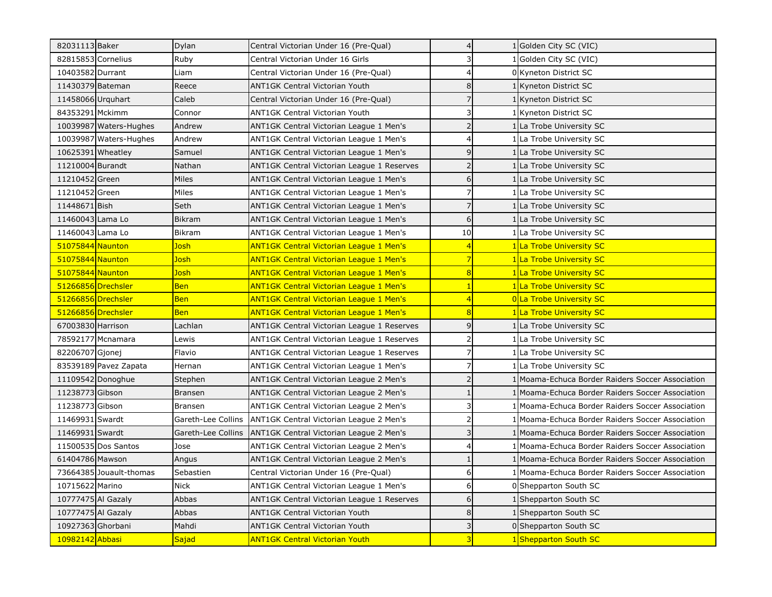| 82031113 Baker          | Dylan              | Central Victorian Under 16 (Pre-Qual)             | 4                        |   | 1 Golden City SC (VIC)                         |
|-------------------------|--------------------|---------------------------------------------------|--------------------------|---|------------------------------------------------|
| 82815853 Cornelius      | Ruby               | Central Victorian Under 16 Girls                  |                          |   | Golden City SC (VIC)                           |
| 10403582 Durrant        | Liam               | Central Victorian Under 16 (Pre-Qual)             | 4                        |   | 0 Kyneton District SC                          |
| 11430379 Bateman        | Reece              | ANT1GK Central Victorian Youth                    | 8                        |   | 1 Kyneton District SC                          |
| 11458066 Urguhart       | Caleb              | Central Victorian Under 16 (Pre-Qual)             |                          |   | 1 Kyneton District SC                          |
| 84353291 Mckimm         | Connor             | <b>ANT1GK Central Victorian Youth</b>             |                          |   | 1 Kyneton District SC                          |
| 10039987 Waters-Hughes  | Andrew             | ANT1GK Central Victorian League 1 Men's           |                          |   | 1 La Trobe University SC                       |
| 10039987 Waters-Hughes  | Andrew             | ANT1GK Central Victorian League 1 Men's           |                          |   | 1 La Trobe University SC                       |
| 10625391 Wheatley       | Samuel             | ANT1GK Central Victorian League 1 Men's           | 9                        |   | 1 La Trobe University SC                       |
| 11210004 Burandt        | Nathan             | ANT1GK Central Victorian League 1 Reserves        |                          |   | 1 La Trobe University SC                       |
| 11210452 Green          | Miles              | ANT1GK Central Victorian League 1 Men's           | 6                        |   | 1 La Trobe University SC                       |
| 11210452 Green          | Miles              | ANT1GK Central Victorian League 1 Men's           | 7                        |   | 1 La Trobe University SC                       |
| 11448671 Bish           | Seth               | ANT1GK Central Victorian League 1 Men's           | 7                        |   | 1 La Trobe University SC                       |
| 11460043 Lama Lo        | <b>Bikram</b>      | ANT1GK Central Victorian League 1 Men's           | 6                        |   | 1 La Trobe University SC                       |
| 11460043 Lama Lo        | <b>Bikram</b>      | ANT1GK Central Victorian League 1 Men's           | 10                       |   | 1 La Trobe University SC                       |
| 51075844 Naunton        | Josh               | <b>ANT1GK Central Victorian League 1 Men's</b>    | 4                        |   | 1 La Trobe University SC                       |
| 51075844 Naunton        | Josh               | <b>ANT1GK Central Victorian League 1 Men's</b>    | $\overline{7}$           |   | 1 La Trobe University SC                       |
| 51075844 Naunton        | Josh               | <b>ANT1GK Central Victorian League 1 Men's</b>    | $\overline{8}$           |   | 1 La Trobe University SC                       |
| 51266856 Drechsler      | <b>Ben</b>         | <b>ANT1GK Central Victorian League 1 Men's</b>    |                          |   | 1 La Trobe University SC                       |
| 51266856 Drechsler      | <b>Ben</b>         | <b>ANT1GK Central Victorian League 1 Men's</b>    | 4                        |   | <b>OLa Trobe University SC</b>                 |
| 51266856 Drechsler      | <b>Ben</b>         | <b>ANT1GK Central Victorian League 1 Men's</b>    | 8                        |   | 1 La Trobe University SC                       |
| 67003830 Harrison       | Lachlan            | <b>ANT1GK Central Victorian League 1 Reserves</b> | 9                        |   | 1 La Trobe University SC                       |
| 78592177 Mcnamara       | Lewis              | ANT1GK Central Victorian League 1 Reserves        | 2                        | 1 | La Trobe University SC                         |
| 82206707 Gjonej         | Flavio             | ANT1GK Central Victorian League 1 Reserves        |                          |   | 1 La Trobe University SC                       |
| 83539189 Pavez Zapata   | Hernan             | ANT1GK Central Victorian League 1 Men's           |                          |   | 1 La Trobe University SC                       |
| 11109542 Donoghue       | Stephen            | ANT1GK Central Victorian League 2 Men's           | $\overline{\phantom{0}}$ |   | Moama-Echuca Border Raiders Soccer Association |
| 11238773 Gibson         | <b>Bransen</b>     | ANT1GK Central Victorian League 2 Men's           |                          |   | Moama-Echuca Border Raiders Soccer Association |
| 11238773 Gibson         | <b>Bransen</b>     | ANT1GK Central Victorian League 2 Men's           | 3                        |   | Moama-Echuca Border Raiders Soccer Association |
| 11469931 Swardt         | Gareth-Lee Collins | ANT1GK Central Victorian League 2 Men's           | 2                        |   | Moama-Echuca Border Raiders Soccer Association |
| 11469931 Swardt         | Gareth-Lee Collins | ANT1GK Central Victorian League 2 Men's           | 3                        |   | Moama-Echuca Border Raiders Soccer Association |
| 11500535 Dos Santos     | Jose               | ANT1GK Central Victorian League 2 Men's           | 4                        |   | Moama-Echuca Border Raiders Soccer Association |
| 61404786 Mawson         | Angus              | ANT1GK Central Victorian League 2 Men's           |                          |   | Moama-Echuca Border Raiders Soccer Association |
| 73664385 Jouault-thomas | Sebastien          | Central Victorian Under 16 (Pre-Qual)             | 6                        |   | Moama-Echuca Border Raiders Soccer Association |
| 10715622 Marino         | <b>Nick</b>        | ANT1GK Central Victorian League 1 Men's           | 6                        |   | 0 Shepparton South SC                          |
| 10777475 Al Gazaly      | Abbas              | ANT1GK Central Victorian League 1 Reserves        | 6                        |   | 1 Shepparton South SC                          |
| 10777475 Al Gazaly      | Abbas              | <b>ANT1GK Central Victorian Youth</b>             | 8                        |   | 1 Shepparton South SC                          |
| 10927363 Ghorbani       | Mahdi              | ANT1GK Central Victorian Youth                    | 3                        |   | 0 Shepparton South SC                          |
| 10982142 Abbasi         | <b>Sajad</b>       | <b>ANT1GK Central Victorian Youth</b>             | 3                        |   | 1 Shepparton South SC                          |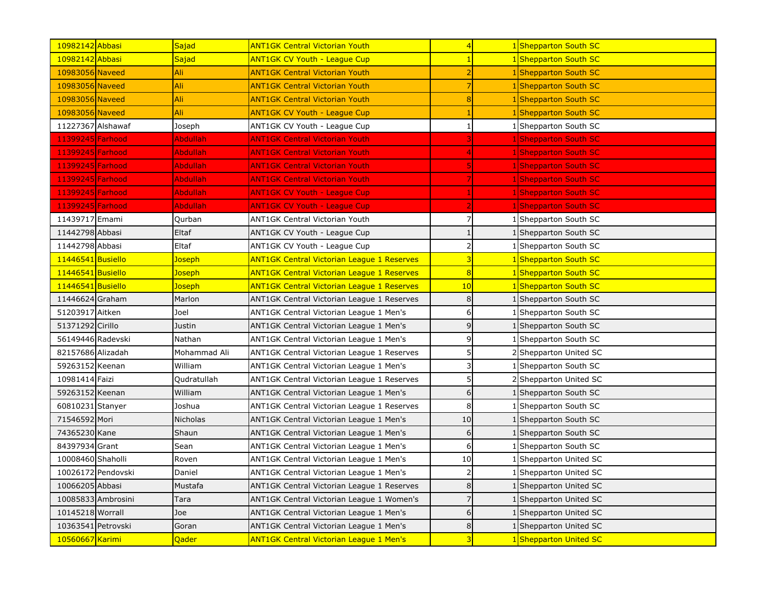| 10982142 Abbasi    |                    | Sajad           | <b>ANT1GK Central Victorian Youth</b>             | $\overline{4}$ | 1 Shepparton South SC      |
|--------------------|--------------------|-----------------|---------------------------------------------------|----------------|----------------------------|
| 10982142 Abbasi    |                    | Sajad           | <b>ANT1GK CV Youth - League Cup</b>               |                | <b>Shepparton South SC</b> |
| 10983056 Naveed    |                    | Ali             | <b>ANT1GK Central Victorian Youth</b>             |                | 1 Shepparton South SC      |
| 10983056 Naveed    |                    | Ali             | <b>ANT1GK Central Victorian Youth</b>             |                | 1 Shepparton South SC      |
| 10983056 Naveed    |                    | Ali             | <b>ANT1GK Central Victorian Youth</b>             | 8              | 1 Shepparton South SC      |
| 10983056 Naveed    |                    | Ali             | <b>ANT1GK CV Youth - League Cup</b>               |                | <b>Shepparton South SC</b> |
| 11227367 Alshawaf  |                    | Joseph          | ANT1GK CV Youth - League Cup                      |                | 1 Shepparton South SC      |
| 11399245 Farhood   |                    | <b>Abdullah</b> | <b>ANT1GK Central Victorian Youth</b>             |                | 1 Shepparton South SC      |
| 11399245 Farhood   |                    | <b>Abdullah</b> | <b>ANT1GK Central Victorian Youth</b>             |                | 1 Shepparton South SC      |
| 11399245 Farhood   |                    | <b>Abdullah</b> | <b>ANT1GK Central Victorian Youth</b>             |                | 1 Shepparton South SC      |
| 11399245 Farhood   |                    | <b>Abdullah</b> | <b>ANT1GK Central Victorian Youth</b>             |                | 1 Shepparton South SC      |
| 11399245 Farhood   |                    | <b>Abdullah</b> | <b>ANT1GK CV Youth - League Cup</b>               |                | 1 Shepparton South SC      |
| 11399245 Farhood   |                    | <b>Abdullah</b> | <b>ANT1GK CV Youth - League Cup</b>               |                | 1 Shepparton South SC      |
| 11439717 Emami     |                    | Qurban          | <b>ANT1GK Central Victorian Youth</b>             | 7              | 1 Shepparton South SC      |
| 11442798 Abbasi    |                    | Eltaf           | ANT1GK CV Youth - League Cup                      | $\mathbf{1}$   | 1 Shepparton South SC      |
| 11442798 Abbasi    |                    | Eltaf           | ANT1GK CV Youth - League Cup                      | $\overline{2}$ | 1 Shepparton South SC      |
| 11446541 Busiello  |                    | <b>Joseph</b>   | <b>ANT1GK Central Victorian League 1 Reserves</b> | 3              | <b>Shepparton South SC</b> |
| 11446541 Busiello  |                    | Joseph          | <b>ANT1GK Central Victorian League 1 Reserves</b> | $\overline{8}$ | <b>Shepparton South SC</b> |
| 11446541 Busiello  |                    | Joseph          | <b>ANT1GK Central Victorian League 1 Reserves</b> | 10             | <b>Shepparton South SC</b> |
| 11446624 Graham    |                    | Marlon          | ANT1GK Central Victorian League 1 Reserves        | 8              | Shepparton South SC        |
| 51203917 Aitken    |                    | Joel            | ANT1GK Central Victorian League 1 Men's           | 6              | Shepparton South SC        |
| 51371292 Cirillo   |                    | Justin          | ANT1GK Central Victorian League 1 Men's           | 9              | Shepparton South SC        |
| 56149446 Radevski  |                    | Nathan          | ANT1GK Central Victorian League 1 Men's           | 9              | Shepparton South SC        |
| 82157686 Alizadah  |                    | Mohammad Ali    | ANT1GK Central Victorian League 1 Reserves        | 5              | 2 Shepparton United SC     |
| 59263152 Keenan    |                    | William         | ANT1GK Central Victorian League 1 Men's           | 3              | Shepparton South SC        |
| 10981414 Faizi     |                    | Qudratullah     | ANT1GK Central Victorian League 1 Reserves        | 5              | Shepparton United SC       |
| 59263152 Keenan    |                    | William         | ANT1GK Central Victorian League 1 Men's           | 6              | Shepparton South SC        |
| 60810231 Stanyer   |                    | Joshua          | ANT1GK Central Victorian League 1 Reserves        | 8              | Shepparton South SC        |
| 71546592 Mori      |                    | Nicholas        | ANT1GK Central Victorian League 1 Men's           | 10             | Shepparton South SC        |
| 74365230 Kane      |                    | Shaun           | ANT1GK Central Victorian League 1 Men's           | 6              | Shepparton South SC        |
| 84397934 Grant     |                    | Sean            | ANT1GK Central Victorian League 1 Men's           | 6              | Shepparton South SC        |
| 10008460 Shaholli  |                    | Roven           | ANT1GK Central Victorian League 1 Men's           | 10             | Shepparton United SC       |
|                    | 10026172 Pendovski | Daniel          | ANT1GK Central Victorian League 1 Men's           | $\overline{2}$ | Shepparton United SC       |
| 10066205 Abbasi    |                    | Mustafa         | ANT1GK Central Victorian League 1 Reserves        | 8              | Shepparton United SC       |
|                    | 10085833 Ambrosini | Tara            | ANT1GK Central Victorian League 1 Women's         |                | Shepparton United SC       |
| 10145218 Worrall   |                    | Joe             | ANT1GK Central Victorian League 1 Men's           | 6              | Shepparton United SC       |
| 10363541 Petrovski |                    | Goran           | ANT1GK Central Victorian League 1 Men's           | 8              | Shepparton United SC       |
| 10560667 Karimi    |                    | <b>Qader</b>    | <b>ANT1GK Central Victorian League 1 Men's</b>    | 3              | 1 Shepparton United SC     |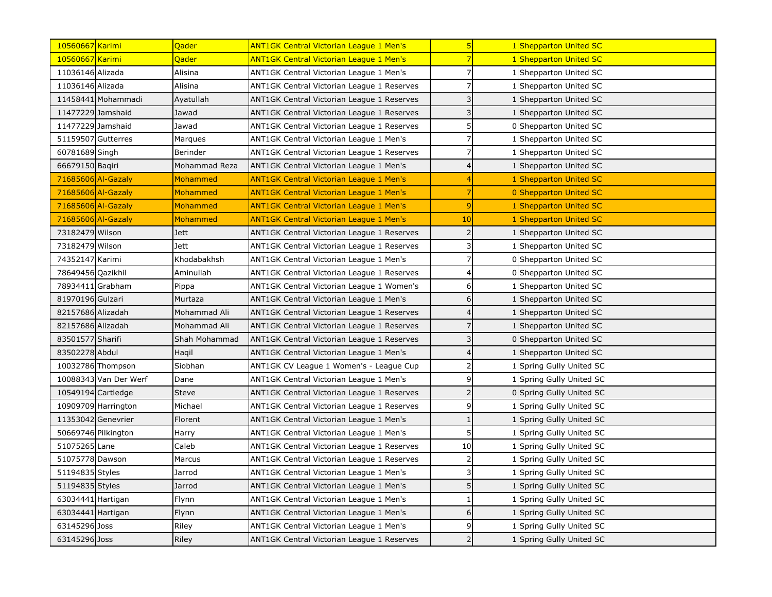| 10560667 Karimi       | Qader         | <b>ANT1GK Central Victorian League 1 Men's</b> | 5                        | 1 Shepparton United SC        |
|-----------------------|---------------|------------------------------------------------|--------------------------|-------------------------------|
| 10560667 Karimi       | Qader         | <b>ANT1GK Central Victorian League 1 Men's</b> |                          | <b>Shepparton United SC</b>   |
| 11036146 Alizada      | Alisina       | ANT1GK Central Victorian League 1 Men's        | 7                        | Shepparton United SC          |
| 11036146 Alizada      | Alisina       | ANT1GK Central Victorian League 1 Reserves     |                          | 1 Shepparton United SC        |
| 11458441 Mohammadi    | Ayatullah     | ANT1GK Central Victorian League 1 Reserves     | 3                        | 1 Shepparton United SC        |
| 11477229 Jamshaid     | Jawad         | ANT1GK Central Victorian League 1 Reserves     | 3                        | 1 Shepparton United SC        |
| 11477229 Jamshaid     | Jawad         | ANT1GK Central Victorian League 1 Reserves     | 5                        | 0 Shepparton United SC        |
| 51159507 Gutterres    | Marques       | ANT1GK Central Victorian League 1 Men's        | 7                        | 1 Shepparton United SC        |
| 60781689 Singh        | Berinder      | ANT1GK Central Victorian League 1 Reserves     |                          | 1 Shepparton United SC        |
| 66679150 Baqiri       | Mohammad Reza | ANT1GK Central Victorian League 1 Men's        | 4                        | 1 Shepparton United SC        |
| 71685606 Al-Gazaly    | Mohammed      | <b>ANT1GK Central Victorian League 1 Men's</b> |                          | 1 Shepparton United SC        |
| 71685606 Al-Gazaly    | Mohammed      | <b>ANT1GK Central Victorian League 1 Men's</b> |                          | <b>0</b> Shepparton United SC |
| 71685606 Al-Gazaly    | Mohammed      | <b>ANT1GK Central Victorian League 1 Men's</b> | 9                        | <b>Shepparton United SC</b>   |
| 71685606 Al-Gazaly    | Mohammed      | <b>ANT1GK Central Victorian League 1 Men's</b> | 10                       | <b>Shepparton United SC</b>   |
| 73182479 Wilson       | <b>Jett</b>   | ANT1GK Central Victorian League 1 Reserves     | $\overline{2}$           | 1 Shepparton United SC        |
| 73182479 Wilson       | <b>Jett</b>   | ANT1GK Central Victorian League 1 Reserves     | 3                        | 1 Shepparton United SC        |
| 74352147 Karimi       | Khodabakhsh   | ANT1GK Central Victorian League 1 Men's        |                          | 0 Shepparton United SC        |
| 78649456 Qazikhil     | Aminullah     | ANT1GK Central Victorian League 1 Reserves     |                          | 0 Shepparton United SC        |
| 78934411 Grabham      | Pippa         | ANT1GK Central Victorian League 1 Women's      | 6                        | Shepparton United SC          |
| 81970196 Gulzari      | Murtaza       | ANT1GK Central Victorian League 1 Men's        | 6                        | 1 Shepparton United SC        |
| 82157686 Alizadah     | Mohammad Ali  | ANT1GK Central Victorian League 1 Reserves     |                          | Shepparton United SC          |
| 82157686 Alizadah     | Mohammad Ali  | ANT1GK Central Victorian League 1 Reserves     |                          | Shepparton United SC          |
| 83501577 Sharifi      | Shah Mohammad | ANT1GK Central Victorian League 1 Reserves     | 3                        | 0 Shepparton United SC        |
| 83502278 Abdul        | Haqil         | ANT1GK Central Victorian League 1 Men's        |                          | 1 Shepparton United SC        |
| 10032786 Thompson     | Siobhan       | ANT1GK CV League 1 Women's - League Cup        |                          | 1 Spring Gully United SC      |
| 10088343 Van Der Werf | Dane          | ANT1GK Central Victorian League 1 Men's        | 9                        | 1 Spring Gully United SC      |
| 10549194 Cartledge    | <b>Steve</b>  | ANT1GK Central Victorian League 1 Reserves     | $\overline{\phantom{0}}$ | 0 Spring Gully United SC      |
| 10909709 Harrington   | Michael       | ANT1GK Central Victorian League 1 Reserves     | 9                        | Spring Gully United SC        |
| 11353042 Genevrier    | Florent       | ANT1GK Central Victorian League 1 Men's        |                          | 1 Spring Gully United SC      |
| 50669746 Pilkington   | Harry         | ANT1GK Central Victorian League 1 Men's        | 5                        | Spring Gully United SC        |
| 51075265 Lane         | Caleb         | ANT1GK Central Victorian League 1 Reserves     | 10                       | Spring Gully United SC        |
| 51075778 Dawson       | Marcus        | ANT1GK Central Victorian League 1 Reserves     | $\overline{2}$           | 1 Spring Gully United SC      |
| 51194835 Styles       | Jarrod        | ANT1GK Central Victorian League 1 Men's        | 3                        | 1 Spring Gully United SC      |
| 51194835 Styles       | Jarrod        | ANT1GK Central Victorian League 1 Men's        | 5                        | 1 Spring Gully United SC      |
| 63034441 Hartigan     | Flynn         | ANT1GK Central Victorian League 1 Men's        |                          | 1 Spring Gully United SC      |
| 63034441 Hartigan     | Flynn         | ANT1GK Central Victorian League 1 Men's        | 6                        | Spring Gully United SC        |
| 63145296 Joss         | Riley         | ANT1GK Central Victorian League 1 Men's        | 9                        | Spring Gully United SC        |
| 63145296 Joss         | <b>Riley</b>  | ANT1GK Central Victorian League 1 Reserves     | $\overline{2}$           | 1 Spring Gully United SC      |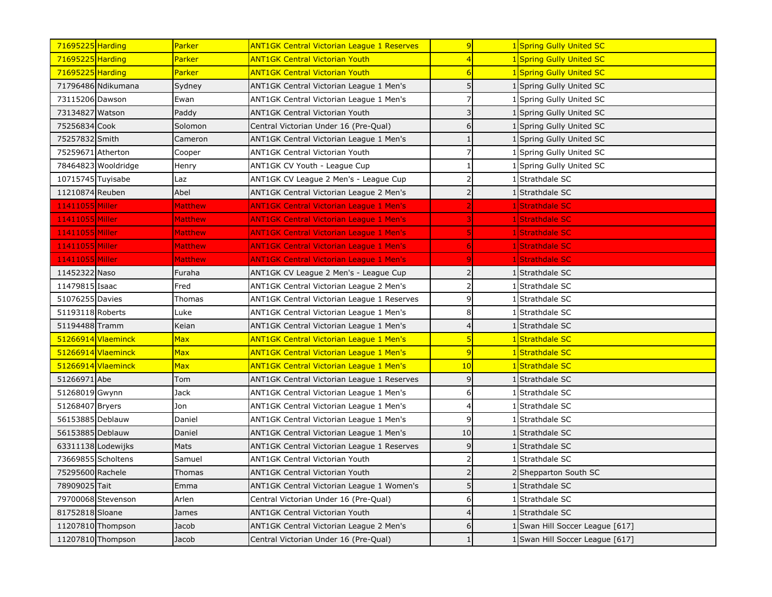| 71695225 Harding    | Parker              | <b>ANT1GK Central Victorian League 1 Reserves</b> | 9               |              | 1 Spring Gully United SC        |
|---------------------|---------------------|---------------------------------------------------|-----------------|--------------|---------------------------------|
| 71695225 Harding    | <mark>Parker</mark> | <b>ANT1GK Central Victorian Youth</b>             |                 |              | 1 Spring Gully United SC        |
| 71695225 Harding    | Parker              | <b>ANT1GK Central Victorian Youth</b>             | $6\overline{6}$ |              | 1 Spring Gully United SC        |
| 71796486 Ndikumana  | Sydney              | ANT1GK Central Victorian League 1 Men's           | 5               |              | 1 Spring Gully United SC        |
| 73115206 Dawson     | Ewan                | ANT1GK Central Victorian League 1 Men's           |                 |              | 1 Spring Gully United SC        |
| 73134827 Watson     | Paddy               | <b>ANT1GK Central Victorian Youth</b>             |                 |              | 1 Spring Gully United SC        |
| 75256834 Cook       | Solomon             | Central Victorian Under 16 (Pre-Qual)             | 6               |              | 1 Spring Gully United SC        |
| 75257832 Smith      | Cameron             | ANT1GK Central Victorian League 1 Men's           |                 |              | 1 Spring Gully United SC        |
| 75259671 Atherton   | Cooper              | <b>ANT1GK Central Victorian Youth</b>             |                 |              | 1 Spring Gully United SC        |
| 78464823 Wooldridge | Henry               | ANT1GK CV Youth - League Cup                      |                 |              | 1 Spring Gully United SC        |
| 10715745 Tuyisabe   | Laz                 | ANT1GK CV League 2 Men's - League Cup             | 2               |              | 1 Strathdale SC                 |
| 11210874 Reuben     | Abel                | ANT1GK Central Victorian League 2 Men's           | $\overline{2}$  |              | 1 Strathdale SC                 |
| 11411055 Miller     | <b>Matthew</b>      | <b>ANT1GK Central Victorian League 1 Men's</b>    |                 |              | 1Strathdale SC                  |
| 11411055 Miller     | <b>Matthew</b>      | <b>ANT1GK Central Victorian League 1 Men's</b>    |                 |              | <b>Strathdale SC</b>            |
| 11411055 Miller     | <b>Matthew</b>      | <b>ANT1GK Central Victorian League 1 Men's</b>    |                 |              | Strathdale SC                   |
| 11411055 Miller     | <b>Matthew</b>      | <b>ANT1GK Central Victorian League 1 Men's</b>    |                 |              | Strathdale SC                   |
| 11411055 Miller     | <b>Matthew</b>      | <b>ANT1GK Central Victorian League 1 Men's</b>    |                 |              | Strathdale SC                   |
| 11452322 Naso       | Furaha              | ANT1GK CV League 2 Men's - League Cup             |                 |              | 1 Strathdale SC                 |
| 11479815 Isaac      | Fred                | ANT1GK Central Victorian League 2 Men's           | 2               | $\mathbf{1}$ | Strathdale SC                   |
| 51076255 Davies     | Thomas              | ANT1GK Central Victorian League 1 Reserves        | 9               |              | 1 Strathdale SC                 |
| 51193118 Roberts    | Luke                | ANT1GK Central Victorian League 1 Men's           | 8               |              | 1 Strathdale SC                 |
| 51194488 Tramm      | Keian               | ANT1GK Central Victorian League 1 Men's           | 4               |              | 1 Strathdale SC                 |
| 51266914 Vlaeminck  | Max                 | <b>ANT1GK Central Victorian League 1 Men's</b>    | 5               |              | 1 Strathdale SC                 |
| 51266914 Vlaeminck  | <b>Max</b>          | <b>ANT1GK Central Victorian League 1 Men's</b>    | $\overline{9}$  |              | 1 Strathdale SC                 |
| 51266914 Vlaeminck  | Max                 | <b>ANT1GK Central Victorian League 1 Men's</b>    | 10              |              | 1 Strathdale SC                 |
| 51266971 Abe        | Tom                 | ANT1GK Central Victorian League 1 Reserves        | 9               |              | 1 Strathdale SC                 |
| 51268019 Gwynn      | Jack                | ANT1GK Central Victorian League 1 Men's           | 6               |              | 1 Strathdale SC                 |
| 51268407 Bryers     | Jon                 | ANT1GK Central Victorian League 1 Men's           | 4               |              | 1 Strathdale SC                 |
| 56153885 Deblauw    | Daniel              | ANT1GK Central Victorian League 1 Men's           | 9               |              | 1 Strathdale SC                 |
| 56153885 Deblauw    | Daniel              | ANT1GK Central Victorian League 1 Men's           | 10              |              | 1 Strathdale SC                 |
| 63311138 Lodewijks  | Mats                | ANT1GK Central Victorian League 1 Reserves        | 9               |              | Strathdale SC                   |
| 73669855 Scholtens  | Samuel              | ANT1GK Central Victorian Youth                    |                 |              | 1 Strathdale SC                 |
| 75295600 Rachele    | Thomas              | ANT1GK Central Victorian Youth                    |                 |              | 2 Shepparton South SC           |
| 78909025 Tait       | Emma                | ANT1GK Central Victorian League 1 Women's         |                 |              | 1 Strathdale SC                 |
| 79700068 Stevenson  | Arlen               | Central Victorian Under 16 (Pre-Qual)             | 6               |              | 1 Strathdale SC                 |
| 81752818 Sloane     | James               | <b>ANT1GK Central Victorian Youth</b>             |                 |              | 1 Strathdale SC                 |
| 11207810 Thompson   | Jacob               | ANT1GK Central Victorian League 2 Men's           | 6               |              | 1 Swan Hill Soccer League [617] |
| 11207810 Thompson   | Jacob               | Central Victorian Under 16 (Pre-Qual)             |                 |              | 1 Swan Hill Soccer League [617] |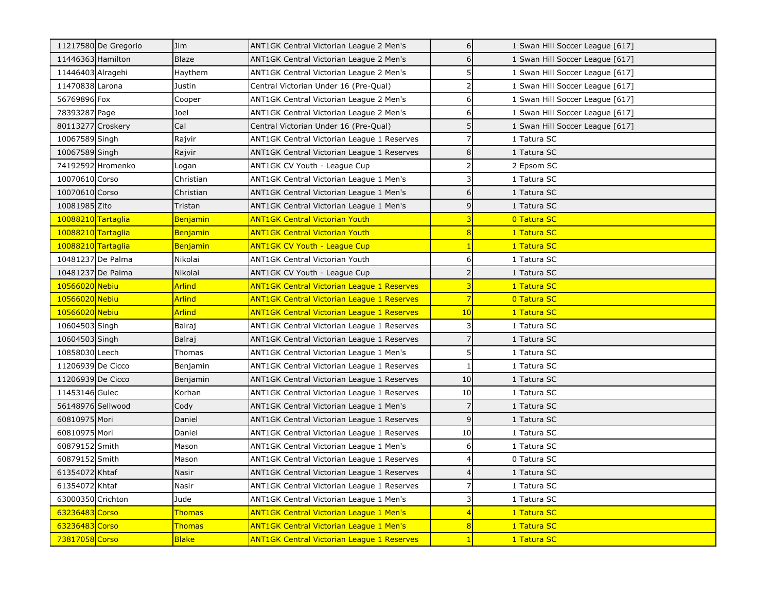| 11217580 De Gregorio | Jim           | ANT1GK Central Victorian League 2 Men's           | 6              |                | 1 Swan Hill Soccer League [617] |
|----------------------|---------------|---------------------------------------------------|----------------|----------------|---------------------------------|
| 11446363 Hamilton    | <b>Blaze</b>  | ANT1GK Central Victorian League 2 Men's           | 6              |                | 1 Swan Hill Soccer League [617] |
| 11446403 Alragehi    | Haythem       | ANT1GK Central Victorian League 2 Men's           | 5              |                | Swan Hill Soccer League [617]   |
| 11470838 Larona      | Justin        | Central Victorian Under 16 (Pre-Qual)             | $\overline{2}$ |                | 1 Swan Hill Soccer League [617] |
| 56769896 Fox         | Cooper        | ANT1GK Central Victorian League 2 Men's           | 6              |                | Swan Hill Soccer League [617]   |
| 78393287 Page        | Joel          | ANT1GK Central Victorian League 2 Men's           | 6              |                | Swan Hill Soccer League [617]   |
| 80113277 Croskery    | Cal           | Central Victorian Under 16 (Pre-Qual)             | 5              |                | 1 Swan Hill Soccer League [617] |
| 10067589 Singh       | Rajvir        | ANT1GK Central Victorian League 1 Reserves        | $\overline{7}$ |                | <b>Tatura SC</b>                |
| 10067589 Singh       | Rajvir        | ANT1GK Central Victorian League 1 Reserves        | 8              |                | <b>Tatura SC</b>                |
| 74192592 Hromenko    | Logan         | ANT1GK CV Youth - League Cup                      | $\overline{2}$ |                | Epsom SC                        |
| 10070610 Corso       | Christian     | ANT1GK Central Victorian League 1 Men's           | 3              |                | 1 Tatura SC                     |
| 10070610 Corso       | Christian     | ANT1GK Central Victorian League 1 Men's           | 6              |                | 1 Tatura SC                     |
| 10081985 Zito        | Tristan       | ANT1GK Central Victorian League 1 Men's           | 9              |                | 1 Tatura SC                     |
| 10088210 Tartaglia   | Benjamin      | <b>ANT1GK Central Victorian Youth</b>             |                |                | 0Tatura SC                      |
| 10088210 Tartaglia   | Benjamin      | <b>ANT1GK Central Victorian Youth</b>             | 8              |                | 1 Tatura SC                     |
| 10088210 Tartaglia   | Benjamin      | <b>ANT1GK CV Youth - League Cup</b>               |                |                | Tatura SC                       |
| 10481237 De Palma    | Nikolai       | <b>ANT1GK Central Victorian Youth</b>             | 6              |                | <b>Tatura SC</b>                |
| 10481237 De Palma    | Nikolai       | ANT1GK CV Youth - League Cup                      | $\overline{2}$ |                | <b>Tatura SC</b>                |
| 10566020 Nebiu       | <b>Arlind</b> | <b>ANT1GK Central Victorian League 1 Reserves</b> | 3              |                | <b>Tatura SC</b>                |
| 10566020 Nebiu       | <b>Arlind</b> | <b>ANT1GK Central Victorian League 1 Reserves</b> | 7              | $\overline{0}$ | <b>Tatura SC</b>                |
| 10566020 Nebiu       | <b>Arlind</b> | <b>ANT1GK Central Victorian League 1 Reserves</b> | 10             |                | <b>Tatura SC</b>                |
| 10604503 Singh       | Balraj        | ANT1GK Central Victorian League 1 Reserves        | 3              |                | Tatura SC                       |
| 10604503 Singh       | Balraj        | ANT1GK Central Victorian League 1 Reserves        |                |                | <b>Tatura SC</b>                |
| 10858030 Leech       | Thomas        | ANT1GK Central Victorian League 1 Men's           | 5              |                | Tatura SC                       |
| 11206939 De Cicco    | Benjamin      | ANT1GK Central Victorian League 1 Reserves        |                |                | Tatura SC                       |
| 11206939 De Cicco    | Benjamin      | ANT1GK Central Victorian League 1 Reserves        | 10             |                | <b>Tatura SC</b>                |
| 11453146 Gulec       | Korhan        | ANT1GK Central Victorian League 1 Reserves        | 10             |                | Tatura SC                       |
| 56148976 Sellwood    | Cody          | ANT1GK Central Victorian League 1 Men's           | $\overline{7}$ |                | <b>Tatura SC</b>                |
| 60810975 Mori        | Daniel        | ANT1GK Central Victorian League 1 Reserves        | $\overline{9}$ |                | Tatura SC                       |
| 60810975 Mori        | Daniel        | ANT1GK Central Victorian League 1 Reserves        | 10             |                | Tatura SC                       |
| 60879152 Smith       | Mason         | ANT1GK Central Victorian League 1 Men's           | 6              |                | <b>Tatura SC</b>                |
| 60879152 Smith       | Mason         | ANT1GK Central Victorian League 1 Reserves        |                |                | 0 Tatura SC                     |
| 61354072 Khtaf       | Nasir         | ANT1GK Central Victorian League 1 Reserves        |                |                | <b>Tatura SC</b>                |
| 61354072 Khtaf       | Nasir         | ANT1GK Central Victorian League 1 Reserves        |                |                | Tatura SC                       |
| 63000350 Crichton    | Jude          | ANT1GK Central Victorian League 1 Men's           | 3              |                | <b>Tatura SC</b>                |
| 63236483 Corso       | <b>Thomas</b> | <b>ANT1GK Central Victorian League 1 Men's</b>    |                |                | Tatura SC                       |
| 63236483 Corso       | <b>Thomas</b> | <b>ANT1GK Central Victorian League 1 Men's</b>    | 8              |                | 1Tatura SC                      |
| 73817058 Corso       | <b>Blake</b>  | ANT1GK Central Victorian League 1 Reserves        |                |                | 1 Tatura SC                     |